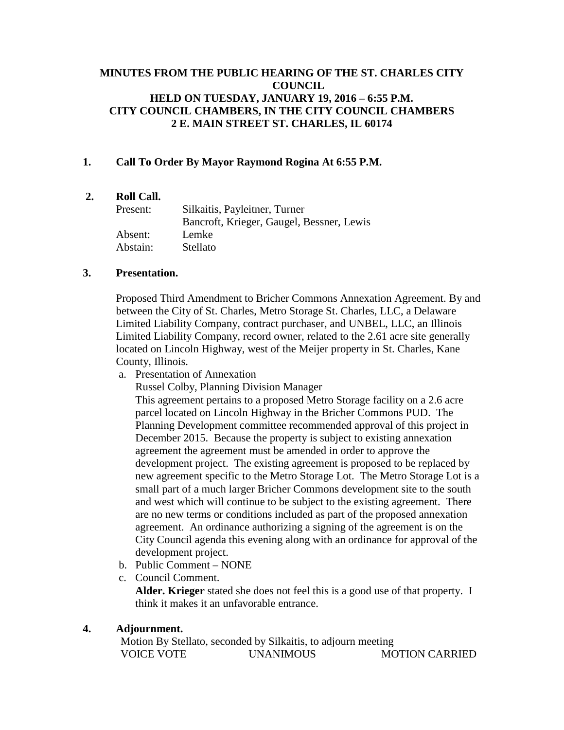# **MINUTES FROM THE PUBLIC HEARING OF THE ST. CHARLES CITY COUNCIL HELD ON TUESDAY, JANUARY 19, 2016 – 6:55 P.M. CITY COUNCIL CHAMBERS, IN THE CITY COUNCIL CHAMBERS 2 E. MAIN STREET ST. CHARLES, IL 60174**

## **1. Call To Order By Mayor Raymond Rogina At 6:55 P.M.**

## **2. Roll Call.**

| Present: | Silkaitis, Payleitner, Turner             |
|----------|-------------------------------------------|
|          | Bancroft, Krieger, Gaugel, Bessner, Lewis |
| Absent:  | Lemke                                     |
| Abstain: | Stellato                                  |

#### **3. Presentation.**

Proposed Third Amendment to Bricher Commons Annexation Agreement. By and between the City of St. Charles, Metro Storage St. Charles, LLC, a Delaware Limited Liability Company, contract purchaser, and UNBEL, LLC, an Illinois Limited Liability Company, record owner, related to the 2.61 acre site generally located on Lincoln Highway, west of the Meijer property in St. Charles, Kane County, Illinois.

a. Presentation of Annexation

Russel Colby, Planning Division Manager

This agreement pertains to a proposed Metro Storage facility on a 2.6 acre parcel located on Lincoln Highway in the Bricher Commons PUD. The Planning Development committee recommended approval of this project in December 2015. Because the property is subject to existing annexation agreement the agreement must be amended in order to approve the development project. The existing agreement is proposed to be replaced by new agreement specific to the Metro Storage Lot. The Metro Storage Lot is a small part of a much larger Bricher Commons development site to the south and west which will continue to be subject to the existing agreement. There are no new terms or conditions included as part of the proposed annexation agreement. An ordinance authorizing a signing of the agreement is on the City Council agenda this evening along with an ordinance for approval of the development project.

- b. Public Comment NONE
- c. Council Comment.

**Alder. Krieger** stated she does not feel this is a good use of that property. I think it makes it an unfavorable entrance.

#### **4. Adjournment.**

Motion By Stellato, seconded by Silkaitis, to adjourn meeting VOICE VOTE UNANIMOUS MOTION CARRIED